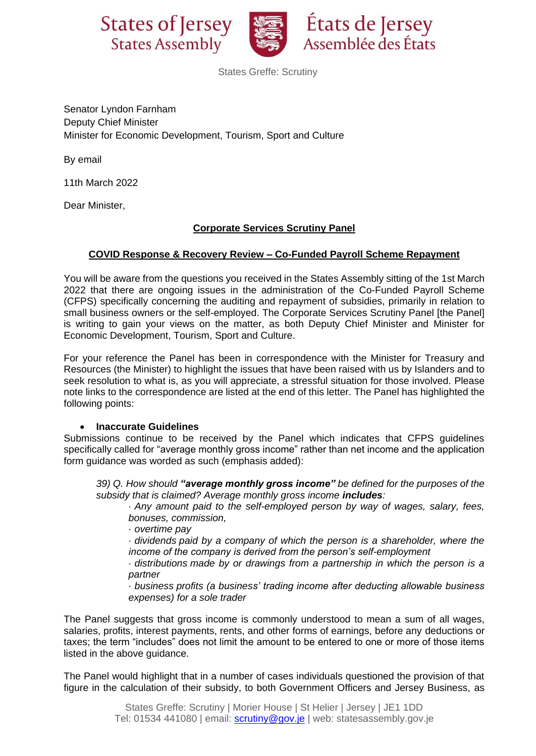



États de Jersey Assemblée des États

States Greffe: Scrutiny

Senator Lyndon Farnham Deputy Chief Minister Minister for Economic Development, Tourism, Sport and Culture

By email

11th March 2022

Dear Minister,

# **Corporate Services Scrutiny Panel**

### **COVID Response & Recovery Review – Co-Funded Payroll Scheme Repayment**

You will be aware from the questions you received in the States Assembly sitting of the 1st March 2022 that there are ongoing issues in the administration of the Co-Funded Payroll Scheme (CFPS) specifically concerning the auditing and repayment of subsidies, primarily in relation to small business owners or the self-employed. The Corporate Services Scrutiny Panel [the Panel] is writing to gain your views on the matter, as both Deputy Chief Minister and Minister for Economic Development, Tourism, Sport and Culture.

For your reference the Panel has been in correspondence with the Minister for Treasury and Resources (the Minister) to highlight the issues that have been raised with us by Islanders and to seek resolution to what is, as you will appreciate, a stressful situation for those involved. Please note links to the correspondence are listed at the end of this letter. The Panel has highlighted the following points:

#### • **Inaccurate Guidelines**

Submissions continue to be received by the Panel which indicates that CFPS guidelines specifically called for "average monthly gross income" rather than net income and the application form guidance was worded as such (emphasis added):

*39) Q. How should "average monthly gross income" be defined for the purposes of the subsidy that is claimed? Average monthly gross income includes:*

*· Any amount paid to the self-employed person by way of wages, salary, fees, bonuses, commission,*

*· overtime pay*

*· dividends paid by a company of which the person is a shareholder, where the income of the company is derived from the person's self-employment*

*· distributions made by or drawings from a partnership in which the person is a partner*

*· business profits (a business' trading income after deducting allowable business expenses) for a sole trader*

The Panel suggests that gross income is commonly understood to mean a sum of all wages, salaries, profits, interest payments, rents, and other forms of earnings, before any deductions or taxes; the term "includes" does not limit the amount to be entered to one or more of those items listed in the above guidance.

The Panel would highlight that in a number of cases individuals questioned the provision of that figure in the calculation of their subsidy, to both Government Officers and Jersey Business, as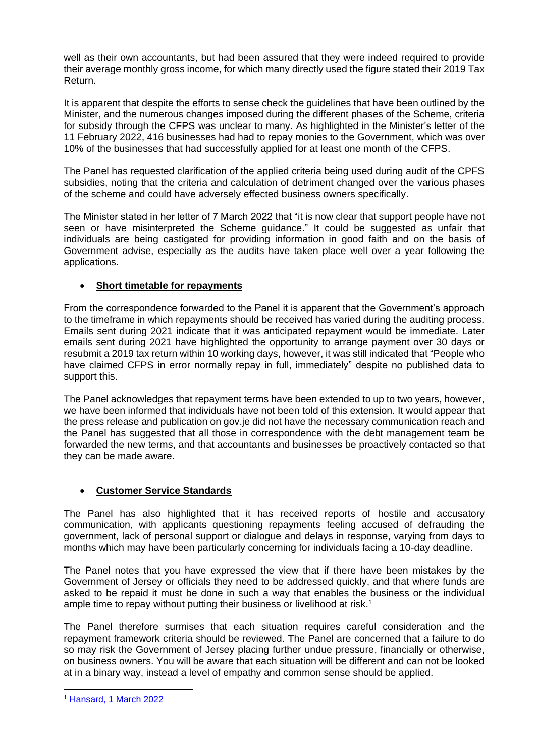well as their own accountants, but had been assured that they were indeed required to provide their average monthly gross income, for which many directly used the figure stated their 2019 Tax Return.

It is apparent that despite the efforts to sense check the guidelines that have been outlined by the Minister, and the numerous changes imposed during the different phases of the Scheme, criteria for subsidy through the CFPS was unclear to many. As highlighted in the Minister's letter of the 11 February 2022, 416 businesses had had to repay monies to the Government, which was over 10% of the businesses that had successfully applied for at least one month of the CFPS.

The Panel has requested clarification of the applied criteria being used during audit of the CPFS subsidies, noting that the criteria and calculation of detriment changed over the various phases of the scheme and could have adversely effected business owners specifically.

The Minister stated in her letter of 7 March 2022 that "it is now clear that support people have not seen or have misinterpreted the Scheme guidance." It could be suggested as unfair that individuals are being castigated for providing information in good faith and on the basis of Government advise, especially as the audits have taken place well over a year following the applications.

# • **Short timetable for repayments**

From the correspondence forwarded to the Panel it is apparent that the Government's approach to the timeframe in which repayments should be received has varied during the auditing process. Emails sent during 2021 indicate that it was anticipated repayment would be immediate. Later emails sent during 2021 have highlighted the opportunity to arrange payment over 30 days or resubmit a 2019 tax return within 10 working days, however, it was still indicated that "People who have claimed CFPS in error normally repay in full, immediately" despite no published data to support this.

The Panel acknowledges that repayment terms have been extended to up to two years, however, we have been informed that individuals have not been told of this extension. It would appear that the press release and publication on gov.je did not have the necessary communication reach and the Panel has suggested that all those in correspondence with the debt management team be forwarded the new terms, and that accountants and businesses be proactively contacted so that they can be made aware.

# • **Customer Service Standards**

The Panel has also highlighted that it has received reports of hostile and accusatory communication, with applicants questioning repayments feeling accused of defrauding the government, lack of personal support or dialogue and delays in response, varying from days to months which may have been particularly concerning for individuals facing a 10-day deadline.

The Panel notes that you have expressed the view that if there have been mistakes by the Government of Jersey or officials they need to be addressed quickly, and that where funds are asked to be repaid it must be done in such a way that enables the business or the individual ample time to repay without putting their business or livelihood at risk.<sup>1</sup>

The Panel therefore surmises that each situation requires careful consideration and the repayment framework criteria should be reviewed. The Panel are concerned that a failure to do so may risk the Government of Jersey placing further undue pressure, financially or otherwise, on business owners. You will be aware that each situation will be different and can not be looked at in a binary way, instead a level of empathy and common sense should be applied.

<sup>1</sup> [Hansard, 1 March 2022](https://statesassembly.gov.je/Pages/Hansard.aspx?docid=B7817F91-E417-4C6D-8B53-6898ED9D67D9#_Toc97628614)